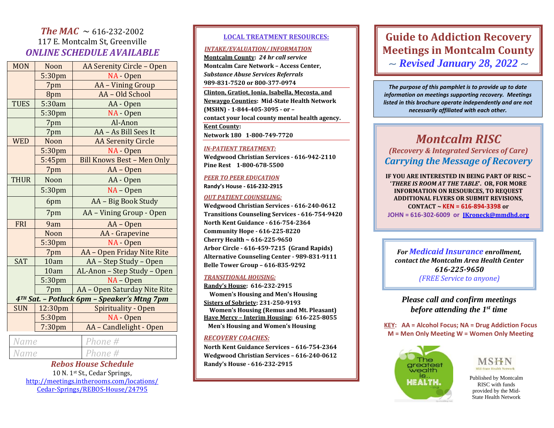# *The MAC*  $\sim$  616-232-2002 117 E. Montcalm St, Greenville *ONLINE SCHEDULE AVAILABLE*

| <b>MON</b>                                  | Noon               | AA Serenity Circle - Open         |  |
|---------------------------------------------|--------------------|-----------------------------------|--|
|                                             | 5:30pm             | NA - Open                         |  |
|                                             | 7pm                | AA - Vining Group                 |  |
|                                             | 8pm                | AA - Old School                   |  |
| <b>TUES</b>                                 | 5:30am             | AA - Open                         |  |
|                                             | 5:30 <sub>pm</sub> | NA - Open                         |  |
|                                             | 7pm                | Al-Anon                           |  |
|                                             | 7pm                | AA - As Bill Sees It              |  |
| <b>WED</b>                                  | Noon               | <b>AA Serenity Circle</b>         |  |
|                                             | 5:30pm             | NA - Open                         |  |
|                                             | 5:45pm             | <b>Bill Knows Best - Men Only</b> |  |
|                                             | 7pm                | AA - Open                         |  |
| <b>THUR</b>                                 | Noon               | AA - Open                         |  |
|                                             | 5:30pm             | $NA - Open$                       |  |
|                                             | 6pm                | AA - Big Book Study               |  |
|                                             | 7pm                | AA - Vining Group - Open          |  |
| FRI                                         | 9am                | AA - Open                         |  |
|                                             | Noon               | AA - Grapevine                    |  |
|                                             | 5:30pm             | NA - Open                         |  |
|                                             | 7pm                | AA - Open Friday Nite Rite        |  |
| <b>SAT</b>                                  | 10am               | AA - Step Study - Open            |  |
|                                             | 10am               | AL-Anon - Step Study - Open       |  |
|                                             | 5:30pm             | $NA$ – Open                       |  |
|                                             | 7pm                | AA - Open Saturday Nite Rite      |  |
| 4TH Sat. - Potluck 6pm - Speaker's Mtng 7pm |                    |                                   |  |
| <b>SUN</b>                                  | 12:30pm            | Spirituality - Open               |  |
|                                             | 5:30pm             | NA - Open                         |  |
|                                             | 7:30 <sub>pm</sub> | AA - Candlelight - Open           |  |
| Name                                        |                    | Phone #                           |  |

| Phone #<br>Name |  | <b>Rebos House Schedule</b> |
|-----------------|--|-----------------------------|
|                 |  |                             |

10 N. 1st St., Cedar Springs, [http://meetings.intherooms.com/locations/](http://meetings.intherooms.com/locations/Cedar-Springs/REBOS-House/24795) [Cedar-Springs/REBOS-House/24795](http://meetings.intherooms.com/locations/Cedar-Springs/REBOS-House/24795)

### **LOCAL TREATMENT RESOURCES:**

### *INTAKE/EVALUATION/ INFORMATION*

**Montcalm County:** *24 hr call service* **Montcalm Care Network – Access Center,**  *Substance Abuse Services Referrals* **989-831-7520 or 800-377-0974 Clinton, Gratiot, Ionia, Isabella, Mecosta, and Newaygo Counties: Mid-State Health Network (MSHN) - 1-844-405-3095 - or – contact your local county mental health agency. Kent County: Network 180 1-800-749-7720**

#### *IN-PATIENT TREATMENT:*

**Wedgwood Christian Services - 616-942-2110 Pine Rest 1-800-678-5500**

#### *PEER TO PEER EDUCATION*

**Randy's House - 616-232-2915**

#### *OUT PATIENT COUNSELING:*

**Wedgwood Christian Services - 616-240-0612 Transitions Counseling Services - 616-754-9420 North Kent Guidance - 616-754-2364 Community Hope - 616-225-8220 Cherry Health ~ 616-225-9650 Arbor Circle - 616-459-7215 (Grand Rapids) Alternative Counseling Center - 989-831-9111 Belle Tower Group – 616-835-9292**

#### *TRANSITIONAL HOUSING:*

**Randy's House: 616-232-2915 Women's Housing and Men's Housing Sisters of Sobriety: 231-250-9193 Women's Housing (Remus and Mt. Pleasant) Have Mercy – Interim Housing: 616-225-8055 Men's Housing and Women's Housing** 

#### *RECOVERY COACHES:*

**North Kent Guidance Services – 616-754-2364 Wedgwood Christian Services – 616-240-0612 Randy's House - 616-232-2915**

# **Guide to Addiction Recovery Meetings in Montcalm County** ~ *Revised January 28, 2022* ~

*The purpose of this pamphlet is to provide up to date information on meetings supporting recovery. Meetings listed in this brochure operate independently and are not necessarily affiliated with each other.*

# *Montcalm RISC*

*(Recovery & Integrated Services of Care) Carrying the Message of Recovery*

**IF YOU ARE INTERESTED IN BEING PART OF RISC ~ '***THERE IS ROOM AT THE TABLE***'. OR, FOR MORE INFORMATION ON RESOURCES, TO REQUEST ADDITIONAL FLYERS OR SUBMIT REVISIONS, CONTACT ~ KEN = 616-894-3398 or JOHN = 616-302-6009 or [JKroneck@mmdhd.org](mailto:JKroneck@mmdhd.org)**

*For Medicaid Insurance enrollment, contact the Montcalm Area Health Center 616-225-9650 (FREE Service to anyone)*

*Please call and confirm meetings before attending the 1st time*

**KEY: AA = Alcohol Focus; NA = Drug Addiction Focus M = Men Only Meeting W = Women Only Meeting** 





Published by Montcalm RISC with funds provided by the Mid-State Health Network